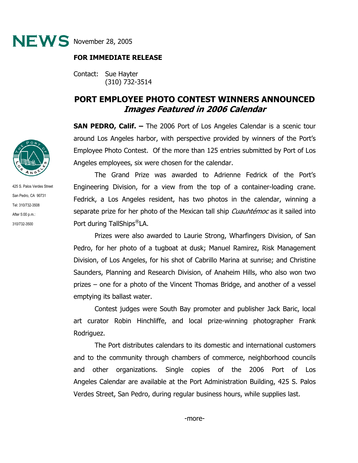

## **FOR IMMEDIATE RELEASE**

Contact: Sue Hayter (310) 732-3514

## **PORT EMPLOYEE PHOTO CONTEST WINNERS ANNOUNCED Images Featured in 2006 Calendar**

**SAN PEDRO, Calif. –** The 2006 Port of Los Angeles Calendar is a scenic tour around Los Angeles harbor, with perspective provided by winners of the Port's Employee Photo Contest. Of the more than 125 entries submitted by Port of Los Angeles employees, six were chosen for the calendar.

The Grand Prize was awarded to Adrienne Fedrick of the Port's Engineering Division, for a view from the top of a container-loading crane. Fedrick, a Los Angeles resident, has two photos in the calendar, winning a separate prize for her photo of the Mexican tall ship *Cuauhtémoc* as it sailed into Port during TallShips®LA.

Prizes were also awarded to Laurie Strong, Wharfingers Division, of San Pedro, for her photo of a tugboat at dusk; Manuel Ramirez, Risk Management Division, of Los Angeles, for his shot of Cabrillo Marina at sunrise; and Christine Saunders, Planning and Research Division, of Anaheim Hills, who also won two prizes – one for a photo of the Vincent Thomas Bridge, and another of a vessel emptying its ballast water.

Contest judges were South Bay promoter and publisher Jack Baric, local art curator Robin Hinchliffe, and local prize-winning photographer Frank Rodriguez.

The Port distributes calendars to its domestic and international customers and to the community through chambers of commerce, neighborhood councils and other organizations. Single copies of the 2006 Port of Los Angeles Calendar are available at the Port Administration Building, 425 S. Palos Verdes Street, San Pedro, during regular business hours, while supplies last.



425 S. Palos Verdes Street San Pedro, CA 90731 Tel: 310/732-3508 After 5:00 p.m.: 310/732-3500